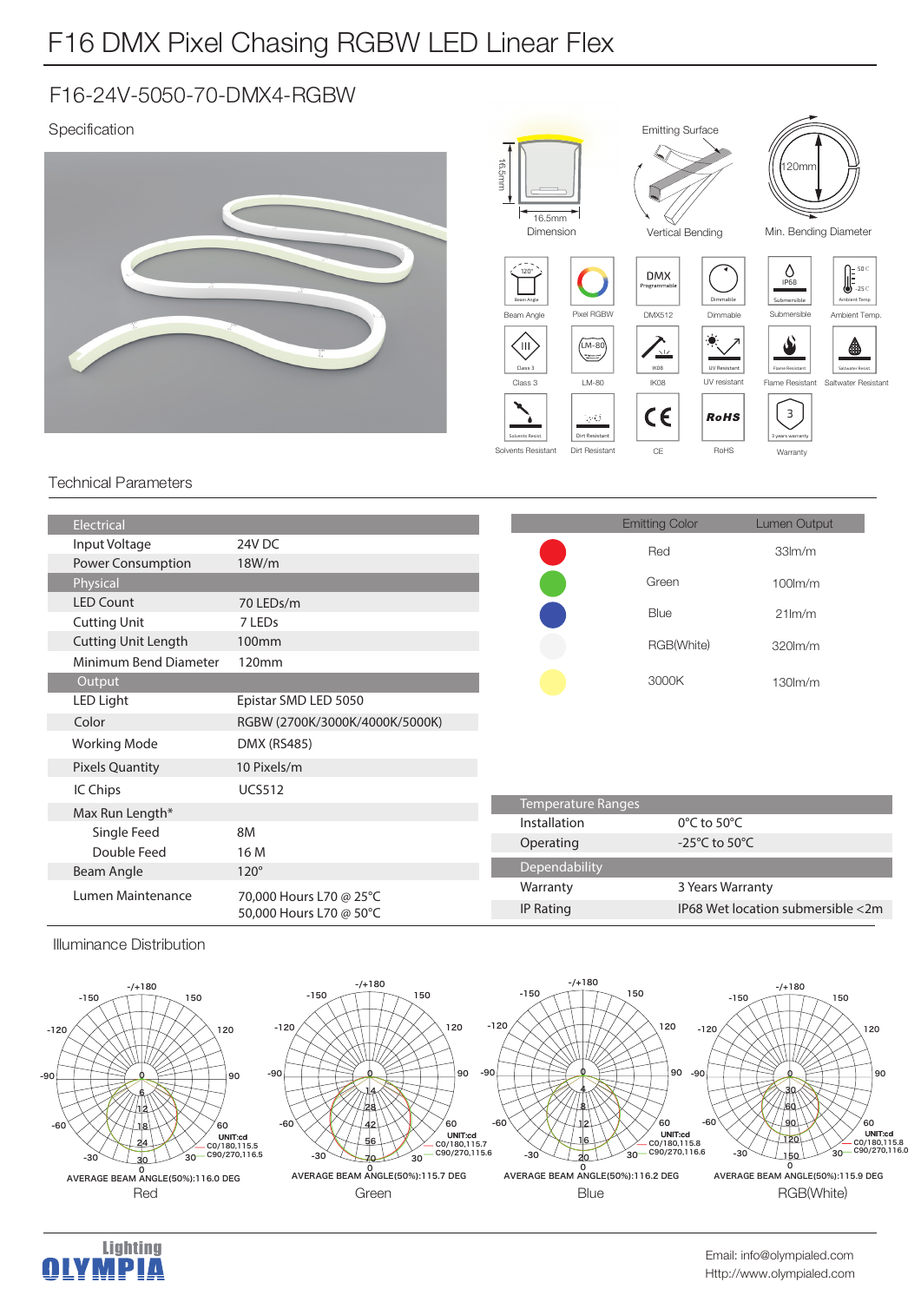# F16 DMX Pixel Chasing RGBW LED Linear Flex

### F16-24V-5050-70-DMX4-RGBW

### Specification



#### Technical Parameters

| Electrical                 |                                                    |                           | <b>Emitting Color</b>               | Lumen Output                      |
|----------------------------|----------------------------------------------------|---------------------------|-------------------------------------|-----------------------------------|
| Input Voltage              | 24V DC                                             |                           | Red                                 | 33 <sub>lm</sub> /m               |
| <b>Power Consumption</b>   | 18W/m                                              |                           |                                     |                                   |
| Physical                   |                                                    |                           | Green                               | $100$ lm/m                        |
| <b>LED Count</b>           | 70 LEDs/m                                          |                           | Blue                                | $21$ lm/m                         |
| <b>Cutting Unit</b>        | 7 LEDs                                             |                           |                                     |                                   |
| <b>Cutting Unit Length</b> | 100 <sub>mm</sub>                                  |                           | RGB(White)                          | 320lm/m                           |
| Minimum Bend Diameter      | 120mm                                              |                           |                                     |                                   |
| Output                     |                                                    |                           | 3000K                               | $130$ $m/m$                       |
| <b>LED Light</b>           | Epistar SMD LED 5050                               |                           |                                     |                                   |
| Color                      | RGBW (2700K/3000K/4000K/5000K)                     |                           |                                     |                                   |
| <b>Working Mode</b>        | <b>DMX (RS485)</b>                                 |                           |                                     |                                   |
| <b>Pixels Quantity</b>     | 10 Pixels/m                                        |                           |                                     |                                   |
| IC Chips                   | <b>UCS512</b>                                      |                           |                                     |                                   |
| Max Run Length*            |                                                    | <b>Temperature Ranges</b> |                                     |                                   |
| Single Feed                | 8M                                                 | Installation              | $0^{\circ}$ C to 50 $^{\circ}$ C    |                                   |
| Double Feed                | 16 M                                               | Operating                 | -25 $^{\circ}$ C to 50 $^{\circ}$ C |                                   |
| Beam Angle                 | $120^\circ$                                        | Dependability             |                                     |                                   |
| Lumen Maintenance          | 70,000 Hours L70 @ 25°C<br>50,000 Hours L70 @ 50°C | Warranty                  | 3 Years Warranty                    |                                   |
|                            |                                                    | IP Rating                 |                                     | IP68 Wet location submersible <2m |
|                            |                                                    |                           |                                     |                                   |

Illuminance Distribution